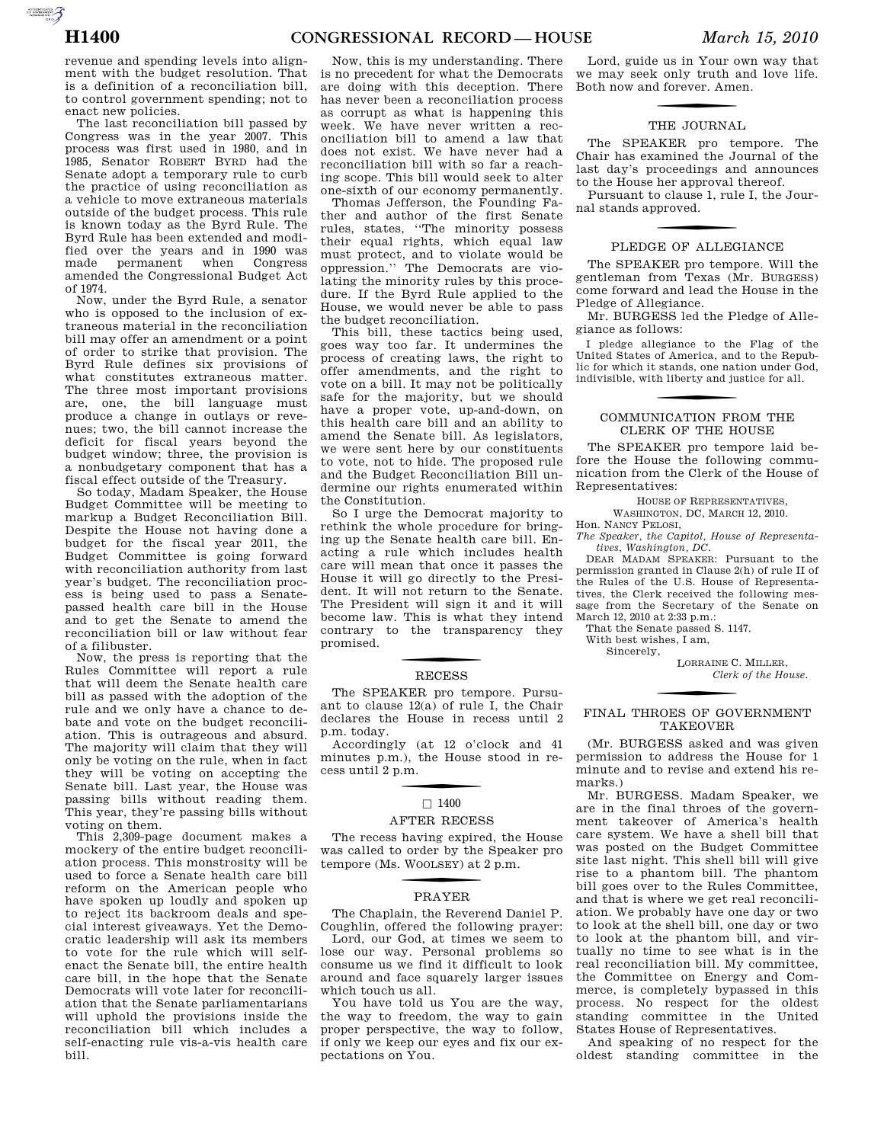AUTOROTOMICALE CONTINUES

revenue and spending levels into alignment with the budget resolution. That is a definition of a reconciliation bill, to control government spending; not to enact new policies.

The last reconciliation bill passed by Congress was in the year 2007. This process was first used in 1980, and in 1985, Senator ROBERT BYRD had the Senate adopt a temporary rule to curb the practice of using reconciliation as a vehicle to move extraneous materials outside of the budget process. This rule is known today as the Byrd Rule. The Byrd Rule has been extended and modified over the years and in 1990 was made permanent when Congress amended the Congressional Budget Act of 1974.

Now, under the Byrd Rule, a senator who is opposed to the inclusion of extraneous material in the reconciliation bill may offer an amendment or a point of order to strike that provision. The Byrd Rule defines six provisions of what constitutes extraneous matter. The three most important provisions are, one, the bill language must produce a change in outlays or revenues; two, the bill cannot increase the deficit for fiscal years beyond the budget window; three, the provision is a nonbudgetary component that has a fiscal effect outside of the Treasury.

So today, Madam Speaker, the House Budget Committee will be meeting to markup a Budget Reconciliation Bill. Despite the House not having done a budget for the fiscal year 2011, the Budget Committee is going forward with reconciliation authority from last year's budget. The reconciliation process is being used to pass a Senatepassed health care bill in the House and to get the Senate to amend the reconciliation bill or law without fear of a filibuster.

Now, the press is reporting that the Rules Committee will report a rule that will deem the Senate health care bill as passed with the adoption of the rule and we only have a chance to debate and vote on the budget reconciliation. This is outrageous and absurd. The majority will claim that they will only be voting on the rule, when in fact they will be voting on accepting the Senate bill. Last year, the House was passing bills without reading them. This year, they're passing bills without voting on them.

This 2,309-page document makes a mockery of the entire budget reconciliation process. This monstrosity will be used to force a Senate health care bill reform on the American people who have spoken up loudly and spoken up to reject its backroom deals and special interest giveaways. Yet the Democratic leadership will ask its members to vote for the rule which will selfenact the Senate bill, the entire health care bill, in the hope that the Senate Democrats will vote later for reconciliation that the Senate parliamentarians will uphold the provisions inside the reconciliation bill which includes a self-enacting rule vis-a-vis health care bill.

Now, this is my understanding. There is no precedent for what the Democrats are doing with this deception. There has never been a reconciliation process as corrupt as what is happening this week. We have never written a reconciliation bill to amend a law that does not exist. We have never had a reconciliation bill with so far a reaching scope. This bill would seek to alter one-sixth of our economy permanently.

Thomas Jefferson, the Founding Father and author of the first Senate rules, states, ''The minority possess their equal rights, which equal law must protect, and to violate would be oppression.'' The Democrats are violating the minority rules by this procedure. If the Byrd Rule applied to the House, we would never be able to pass the budget reconciliation.

This bill, these tactics being used, goes way too far. It undermines the process of creating laws, the right to offer amendments, and the right to vote on a bill. It may not be politically safe for the majority, but we should have a proper vote, up-and-down, on this health care bill and an ability to amend the Senate bill. As legislators, we were sent here by our constituents to vote, not to hide. The proposed rule and the Budget Reconciliation Bill undermine our rights enumerated within the Constitution.

So I urge the Democrat majority to rethink the whole procedure for bringing up the Senate health care bill. Enacting a rule which includes health care will mean that once it passes the House it will go directly to the President. It will not return to the Senate. The President will sign it and it will become law. This is what they intend contrary to the transparency they promised.

## **RECESS**

The SPEAKER pro tempore. Pursuant to clause  $12(a)$  of rule I, the Chair declares the House in recess until 2 p.m. today.

Accordingly (at 12 o'clock and 41 minutes p.m.), the House stood in recess until 2 p.m.

# $\Box$  1400

#### AFTER RECESS

The recess having expired, the House was called to order by the Speaker pro tempore (Ms. W OOLSEY) at 2 p.m.

## f PRAYER

The Chaplain, the Reverend Daniel P. Coughlin, offered the following prayer:

Lord, our God, at times we seem to lose our way. Personal problems so consume us we find it difficult to look around and face squarely larger issues which touch us all.

You have told us You are the way, the way to freedom, the way to gain proper perspective, the way to follow, if only we keep our eyes and fix our expectations on You.

Lord, guide us in Your own way that we may seek only truth and love life. Both now and forever. Amen.

## THE JOURNAL

The SPEAKER pro tempore. The Chair has examined the Journal of the last day's proceedings and announces to the House her approval thereof.

Pursuant to clause 1, rule I, the Journal stands approved.

#### PLEDGE OF ALLEGIANCE

The SPEAKER pro tempore. Will the gentleman from Texas (Mr. BURGESS) come forward and lead the House in the Pledge of Allegiance.

Mr. BURGESS led the Pledge of Allegiance as follows:

I pledge allegiance to the Flag of the United States of America, and to the Republic for which it stands, one nation under God, indivisible, with liberty and justice for all.

### COMMUNICATION FROM THE CLERK OF THE HOUSE

The SPEAKER pro tempore laid before the House the following communication from the Clerk of the House of Representatives:

HOUSE OF REPRESENTATIVES, WASHINGTON, DC, MARCH 12, 2010.

Hon. NANCY PELOSI, *The Speaker, the Capitol, House of Representatives, Washington, DC.* 

DEAR MADAM SPEAKER: Pursuant to the permission granted in Clause 2(h) of rule II of the Rules of the U.S. House of Representatives, the Clerk received the following message from the Secretary of the Senate on March 12, 2010 at 2:33 p.m.:

That the Senate passed S. 1147.

With best wishes, I am,

Sincerely,

LORRAINE C. MILLER, *Clerk of the House.* 

#### FINAL THROES OF GOVERNMENT TAKEOVER

(Mr. BURGESS asked and was given permission to address the House for 1 minute and to revise and extend his remarks.)

Mr. BURGESS. Madam Speaker, we are in the final throes of the government takeover of America's health care system. We have a shell bill that was posted on the Budget Committee site last night. This shell bill will give rise to a phantom bill. The phantom bill goes over to the Rules Committee, and that is where we get real reconciliation. We probably have one day or two to look at the shell bill, one day or two to look at the phantom bill, and virtually no time to see what is in the real reconciliation bill. My committee, the Committee on Energy and Commerce, is completely bypassed in this process. No respect for the oldest standing committee in the United States House of Representatives.

And speaking of no respect for the oldest standing committee in the